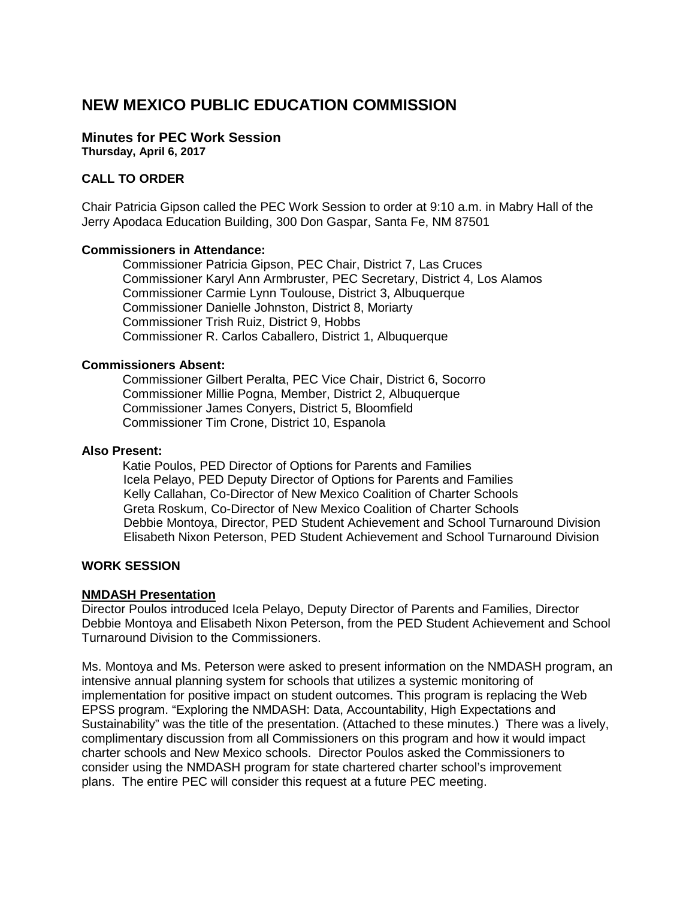## **NEW MEXICO PUBLIC EDUCATION COMMISSION**

# **Minutes for PEC Work Session**

**Thursday, April 6, 2017**

## **CALL TO ORDER**

Chair Patricia Gipson called the PEC Work Session to order at 9:10 a.m. in Mabry Hall of the Jerry Apodaca Education Building, 300 Don Gaspar, Santa Fe, NM 87501

## **Commissioners in Attendance:**

Commissioner Patricia Gipson, PEC Chair, District 7, Las Cruces Commissioner Karyl Ann Armbruster, PEC Secretary, District 4, Los Alamos Commissioner Carmie Lynn Toulouse, District 3, Albuquerque Commissioner Danielle Johnston, District 8, Moriarty Commissioner Trish Ruiz, District 9, Hobbs Commissioner R. Carlos Caballero, District 1, Albuquerque

#### **Commissioners Absent:**

Commissioner Gilbert Peralta, PEC Vice Chair, District 6, Socorro Commissioner Millie Pogna, Member, District 2, Albuquerque Commissioner James Conyers, District 5, Bloomfield Commissioner Tim Crone, District 10, Espanola

#### **Also Present:**

Katie Poulos, PED Director of Options for Parents and Families Icela Pelayo, PED Deputy Director of Options for Parents and Families Kelly Callahan, Co-Director of New Mexico Coalition of Charter Schools Greta Roskum, Co-Director of New Mexico Coalition of Charter Schools Debbie Montoya, Director, PED Student Achievement and School Turnaround Division Elisabeth Nixon Peterson, PED Student Achievement and School Turnaround Division

#### **WORK SESSION**

#### **NMDASH Presentation**

Director Poulos introduced Icela Pelayo, Deputy Director of Parents and Families, Director Debbie Montoya and Elisabeth Nixon Peterson, from the PED Student Achievement and School Turnaround Division to the Commissioners.

Ms. Montoya and Ms. Peterson were asked to present information on the NMDASH program, an intensive annual planning system for schools that utilizes a systemic monitoring of implementation for positive impact on student outcomes. This program is replacing the Web EPSS program. "Exploring the NMDASH: Data, Accountability, High Expectations and Sustainability" was the title of the presentation. (Attached to these minutes.) There was a lively, complimentary discussion from all Commissioners on this program and how it would impact charter schools and New Mexico schools. Director Poulos asked the Commissioners to consider using the NMDASH program for state chartered charter school's improvement plans. The entire PEC will consider this request at a future PEC meeting.